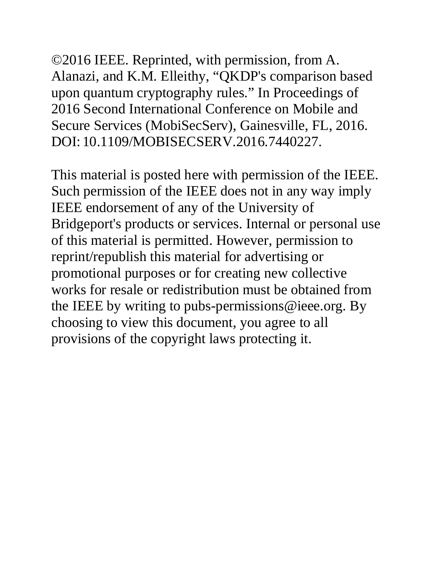©2016 IEEE. Reprinted, with permission, from A. Alanazi, and K.M. Elleithy, "QKDP's comparison based upon quantum cryptography rules." In Proceedings of 2016 Second International Conference on Mobile and Secure Services (MobiSecServ), Gainesville, FL, 2016. DOI:10.1109/MOBISECSERV.2016.7440227.

This material is posted here with permission of the IEEE. Such permission of the IEEE does not in any way imply IEEE endorsement of any of the University of Bridgeport's products or services. Internal or personal use of this material is permitted. However, permission to reprint/republish this material for advertising or promotional purposes or for creating new collective works for resale or redistribution must be obtained from the IEEE by writing to pubs-permissions @ieee.org. By choosing to view this document, you agree to all provisions of the copyright laws protecting it.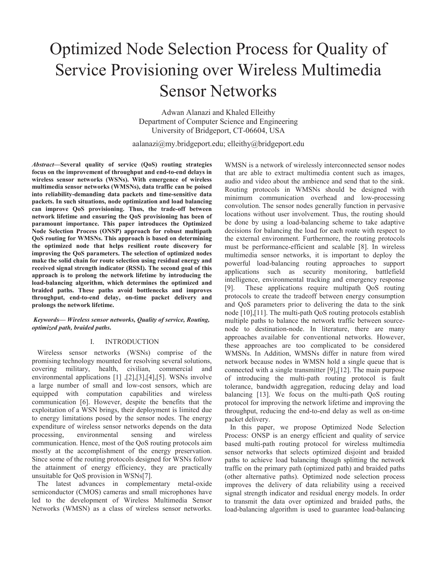# Optimized Node Selection Process for Quality of Service Provisioning over Wireless Multimedia Sensor Networks

Adwan Alanazi and Khaled Elleithy Department of Computer Science and Engineering University of Bridgeport, CT-06604, USA

aalanazi@my.bridgeport.edu; elleithy@bridgeport.edu

*Abstract—***Several quality of service (QoS) routing strategies focus on the improvement of throughput and end-to-end delays in wireless sensor networks (WSNs). With emergence of wireless multimedia sensor networks (WMSNs), data traffic can be poised into reliability-demanding data packets and time-sensitive data packets. In such situations, node optimization and load balancing can improve QoS provisioning. Thus, the trade-off between network lifetime and ensuring the QoS provisioning has been of paramount importance. This paper introduces the Optimized Node Selection Process (ONSP) approach for robust multipath QoS routing for WMSNs. This approach is based on determining the optimized node that helps resilient route discovery for improving the QoS parameters. The selection of optimized nodes make the solid chain for route selection using residual energy and received signal strength indicator (RSSI). The second goal of this approach is to prolong the network lifetime by introducing the load-balancing algorithm, which determines the optimized and braided paths. These paths avoid bottlenecks and improves throughput, end-to-end delay, on-time packet delivery and prolongs the network lifetime.** 

## *Keywords— Wireless sensor networks, Quality of service, Routing, optimized path, braided paths***.**

# I. INTRODUCTION

 Wireless sensor networks (WSNs) comprise of the promising technology mounted for resolving several solutions, covering military, health, civilian, commercial and environmental applications [1] ,[2],[3],[4],[5]. WSNs involve a large number of small and low-cost sensors, which are equipped with computation capabilities and wireless communication [6]. However, despite the benefits that the exploitation of a WSN brings, their deployment is limited due to energy limitations posed by the sensor nodes. The energy expenditure of wireless sensor networks depends on the data processing, environmental sensing and wireless communication. Hence, most of the QoS routing protocols aim mostly at the accomplishment of the energy preservation. Since some of the routing protocols designed for WSNs follow the attainment of energy efficiency, they are practically unsuitable for QoS provision in WSNs[7].

 The latest advances in complementary metal-oxide semiconductor (CMOS) cameras and small microphones have led to the development of Wireless Multimedia Sensor Networks (WMSN) as a class of wireless sensor networks.

WMSN is a network of wirelessly interconnected sensor nodes that are able to extract multimedia content such as images, audio and video about the ambience and send that to the sink. Routing protocols in WMSNs should be designed with minimum communication overhead and low-processing convolution. The sensor nodes generally function in pervasive locations without user involvement. Thus, the routing should be done by using a load-balancing scheme to take adaptive decisions for balancing the load for each route with respect to the external environment. Furthermore, the routing protocols must be performance-efficient and scalable [8]. In wireless multimedia sensor networks, it is important to deploy the powerful load-balancing routing approaches to support applications such as security monitoring, battlefield intelligence, environmental tracking and emergency response [9]. These applications require multipath QoS routing protocols to create the tradeoff between energy consumption and QoS parameters prior to delivering the data to the sink node [10],[11]. The multi-path QoS routing protocols establish multiple paths to balance the network traffic between sourcenode to destination-node. In literature, there are many approaches available for conventional networks. However, these approaches are too complicated to be considered WMSNs. In Addition, WMSNs differ in nature from wired network because nodes in WMSN hold a single queue that is connected with a single transmitter [9],[12]. The main purpose of introducing the multi-path routing protocol is fault tolerance, bandwidth aggregation, reducing delay and load balancing [13]. We focus on the multi-path QoS routing protocol for improving the network lifetime and improving the throughput, reducing the end-to-end delay as well as on-time packet delivery.

 In this paper, we propose Optimized Node Selection Process: ONSP is an energy efficient and quality of service based multi-path routing protocol for wireless multimedia sensor networks that selects optimized disjoint and braided paths to achieve load balancing though splitting the network traffic on the primary path (optimized path) and braided paths (other alternative paths). Optimized node selection process improves the delivery of data reliability using a received signal strength indicator and residual energy models. In order to transmit the data over optimized and braided paths, the load-balancing algorithm is used to guarantee load-balancing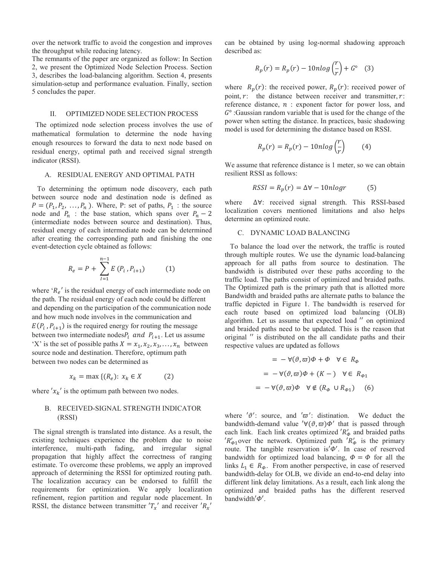over the network traffic to avoid the congestion and improves the throughput while reducing latency.

The remnants of the paper are organized as follow: In Section 2, we present the Optimized Node Selection Process. Section 3, describes the load-balancing algorithm. Section 4, presents simulation-setup and performance evaluation. Finally, section 5 concludes the paper.

# II. OPTIMIZED NODE SELECTION PROCESS

 The optimized node selection process involves the use of mathematical formulation to determine the node having enough resources to forward the data to next node based on residual energy, optimal path and received signal strength indicator (RSSI).

#### A. RESIDUAL ENERGY AND OPTIMAL PATH

 To determining the optimum node discovery, each path between source node and destination node is defined as  $P = (P_1, P_2, \ldots, P_n)$ . Where, P: set of paths,  $P_1$ : the source node and  $P_n$ : the base station, which spans over  $P_n - 2$ (intermediate nodes between source and destination). Thus, residual energy of each intermediate node can be determined after creating the corresponding path and finishing the one event-detection cycle obtained as follows:

$$
R_e = P + \sum_{i=1}^{n-1} E(P_i, P_{i+1})
$$
 (1)

where  $R_e'$  is the residual energy of each intermediate node on the path. The residual energy of each node could be different and depending on the participation of the communication node and how much node involves in the communication and  $E(P_i, P_{i+1})$  is the required energy for routing the message between two intermediate nodes $P_i$  and  $P_{i+1}$ . Let us assume 'X' is the set of possible paths  $X = x_1, x_2, x_3, \dots, x_n$  between source node and destination. Therefore, optimum path between two nodes can be determined as

$$
x_k = \max\left\{ (R_e): \, x_k \in X \qquad (2) \right\}
$$

where  $x_k'$  is the optimum path between two nodes.

## B. RECEIVED-SIGNAL STRENGTH INDICATOR (RSSI)

 The signal strength is translated into distance. As a result, the existing techniques experience the problem due to noise interference, multi-path fading, and irregular signal propagation that highly affect the correctness of ranging estimate. To overcome these problems, we apply an improved approach of determining the RSSI for optimized routing path. The localization accuracy can be endorsed to fulfill the requirements for optimization. We apply localization refinement, region partition and regular node placement. In RSSI, the distance between transmitter  $T_{\alpha}$  and receiver  $'R_{\alpha}$  can be obtained by using log-normal shadowing approach described as:

$$
R_p(r) = R_p(r) - 10n \log\left(\frac{r}{r}\right) + G^{\circ} \quad (3)
$$

where  $R_p(r)$ : the received power,  $R_p(r)$ : received power of point,  $r$ : the distance between receiver and transmitter,  $r$ : reference distance,  $n$ : exponent factor for power loss, and  $G^{\circ}$ :Gaussian random variable that is used for the change of the power when setting the distance. In practices, basic shadowing model is used for determining the distance based on RSSI.

$$
R_p(r) = R_p(r) - 10n \log\left(\frac{r}{r}\right) \tag{4}
$$

We assume that reference distance is 1 meter, so we can obtain resilient RSSI as follows:

$$
RSSI = R_p(r) = \Delta \forall - 10nlogr \tag{5}
$$

where  $\Delta \forall$ : received signal strength. This RSSI-based localization covers mentioned limitations and also helps determine an optimized route.

## C. DYNAMIC LOAD BALANCING

 To balance the load over the network, the traffic is routed through multiple routes. We use the dynamic load-balancing approach for all paths from source to destination. The bandwidth is distributed over these paths according to the traffic load. The paths consist of optimized and braided paths. The Optimized path is the primary path that is allotted more Bandwidth and braided paths are alternate paths to balance the traffic depicted in Figure 1. The bandwidth is reserved for each route based on optimized load balancing (OLB) algorithm. Let us assume that expected load " on optimized and braided paths need to be updated. This is the reason that original " is distributed on the all candidate paths and their respective values are updated as follows

$$
= -\forall (\vartheta, \varpi)\varPhi + \varPhi \quad \forall \in R_{\varPhi}
$$

$$
= -\forall (\vartheta, \varpi)\varPhi + (K -) \quad \forall \in R_{\varPhi_1}
$$

$$
= -\forall (\vartheta, \varpi)\varPhi \quad \forall \notin (R_{\varPhi} \cup R_{\varPhi_1}) \quad (6)
$$

where  $'\vartheta'$ : source, and  $'\varpi'$ : distination. We deduct the bandwidth-demand value  $'\forall (\vartheta, \varpi)\varPhi'$  that is passed through each link. Each link creates optimized  $'R'_\phi$  and braided paths  $'R'_{\phi_1}$ over the network. Optimized path  $'R'_{\phi}$  is the primary route. The tangible reservation is' $\Phi'$ . In case of reserved bandwidth for optimized load balancing,  $\Phi = \Phi$  for all the links  $L_1 \in R_{\Phi}$ . From another perspective, in case of reserved bandwidth-delay for OLB, we divide an end-to-end delay into different link delay limitations. As a result, each link along the optimized and braided paths has the different reserved bandwidth $'\Phi'$ .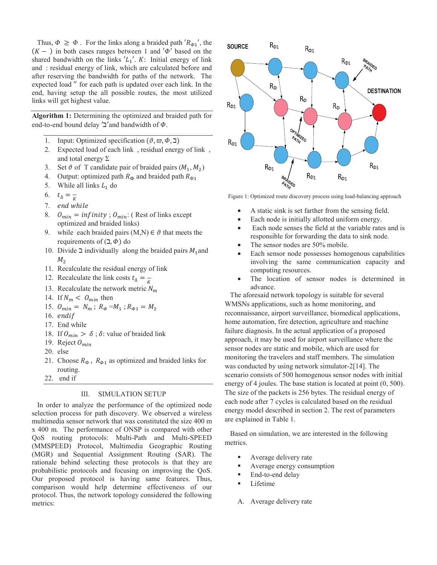Thus,  $\Phi \ge \Phi$ . For the links along a braided path ' $R_{\Phi_1}$ ', the  $(K - )$  in both cases ranges between 1 and ' $\Phi'$  based on the shared bandwidth on the links  $'L_1$ . K: Initial energy of link and : residual energy of link, which are calculated before and after reserving the bandwidth for paths of the network. The expected load " for each path is updated over each link. In the end, having setup the all possible routes, the most utilized links will get highest value.

**Algorithm 1:** Determining the optimized and braided path for end-to-end bound delay  $\zeta$  and bandwidth of  $\Phi$ .

- 1. Input: Optimized specification  $(\vartheta, \varpi, \varPhi, \varDelta)$
- 2. Expected load of each link , residual energy of link , and total energy  $\Sigma$
- 3. Set  $\vartheta$  of T candidate pair of braided pairs  $(M_1, M_2)$
- 4. Output: optimized path  $R_{\Phi}$  and braided path  $R_{\Phi}$
- 5. While all links  $L_1$  do
- 6.  $t_{\Delta} = \frac{1}{K}$
- 7. end while
- 8.  $O_{min} = infinity$ ;  $O_{min}$ : (Rest of links except optimized and braided links)
- 9. while each braided pairs  $(M,N) \in \vartheta$  that meets the requirements of  $(2, \phi)$  do
- 10. Divide  $\exists$  individually along the braided pairs  $M_1$  and  $M<sub>2</sub>$
- 11. Recalculate the residual energy of link
- 12. Recalculate the link costs  $t_{\Delta} = \frac{1}{K}$
- 13. Recalculate the network metric  $N_m$
- 14. If  $N_m < O_{min}$  then
- 15.  $O_{min} = N_m$ ;  $R_{\phi} = M_1$ ;  $R_{\phi 1} = M_2$
- 16. endif
- 17. End while
- 18. If  $O_{min} > \delta$ ;  $\delta$ : value of braided link
- 19. Reject  $O_{min}$
- 20. else
- 21. Choose  $R_{\Phi}$ ,  $R_{\phi 1}$  as optimized and braided links for routing.
- 22. end if

# III. SIMULATION SETUP

 In order to analyze the performance of the optimized node selection process for path discovery. We observed a wireless multimedia sensor network that was constituted the size 400 m x 400 m. The performance of ONSP is compared with other QoS routing protocols: Multi-Path and Multi-SPEED (MMSPEED) Protocol, Multimedia Geographic Routing (MGR) and Sequential Assignment Routing (SAR). The rationale behind selecting these protocols is that they are probabilistic protocols and focusing on improving the QoS. Our proposed protocol is having same features. Thus, comparison would help determine effectiveness of our protocol. Thus, the network topology considered the following metrics:



Figure 1: Optimized route discovery process using load-balancing approach

- A static sink is set farther from the sensing field.
- Each node is initially allotted uniform energy.
- Each node senses the field at the variable rates and is responsible for forwarding the data to sink node.
- The sensor nodes are 50% mobile.
- Each sensor node possesses homogenous capabilities involving the same communication capacity and computing resources.
- The location of sensor nodes is determined in advance.

 The aforesaid network topology is suitable for several WMSNs applications, such as home monitoring, and reconnaissance, airport surveillance, biomedical applications, home automation, fire detection, agriculture and machine failure diagnosis. In the actual application of a proposed approach, it may be used for airport surveillance where the sensor nodes are static and mobile, which are used for monitoring the travelers and staff members. The simulation was conducted by using network simulator-2[14]. The scenario consists of 500 homogenous sensor nodes with initial energy of 4 joules. The base station is located at point (0, 500). The size of the packets is 256 bytes. The residual energy of each node after 7 cycles is calculated based on the residual energy model described in section 2. The rest of parameters are explained in Table 1.

 Based on simulation, we are interested in the following metrics.

- **Average delivery rate**
- Average energy consumption
- End-to-end delay
- **Lifetime**
- A. Average delivery rate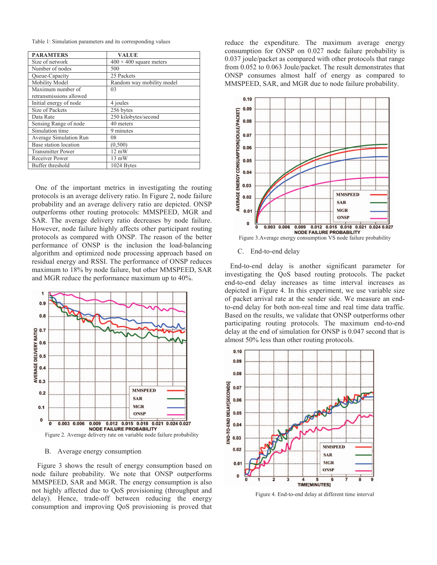Table 1: Simulation parameters and its corresponding values

| <b>PARAMTERS</b>         | <b>VALUE</b>                   |
|--------------------------|--------------------------------|
| Size of network          | $400 \times 400$ square meters |
| Number of nodes          | 500                            |
| Queue-Capacity           | 25 Packets                     |
| Mobility Model           | Random way mobility model      |
| Maximum number of        | 03                             |
| retransmissions allowed  |                                |
| Initial energy of node   | 4 joules                       |
| Size of Packets          | 256 bytes                      |
| Data Rate                | 250 kilobytes/second           |
| Sensing Range of node    | 40 meters                      |
| Simulation time          | 9 minutes                      |
| Average Simulation Run   | 08                             |
| Base station location    | (0,500)                        |
| <b>Transmitter Power</b> | $12 \text{ mW}$                |
| Receiver Power           | 13 mW                          |
| Buffer threshold         | 1024 Bytes                     |

 One of the important metrics in investigating the routing protocols is an average delivery ratio. In Figure 2, node failure probability and an average delivery ratio are depicted. ONSP outperforms other routing protocols: MMSPEED, MGR and SAR. The average delivery ratio decreases by node failure. However, node failure highly affects other participant routing protocols as compared with ONSP. The reason of the better performance of ONSP is the inclusion the load-balancing algorithm and optimized node processing approach based on residual energy and RSSI. The performance of ONSP reduces maximum to 18% by node failure, but other MMSPEED, SAR and MGR reduce the performance maximum up to 40%.



### B. Average energy consumption

 Figure 3 shows the result of energy consumption based on node failure probability. We note that ONSP outperforms MMSPEED, SAR and MGR. The energy consumption is also not highly affected due to QoS provisioning (throughput and delay). Hence, trade-off between reducing the energy consumption and improving QoS provisioning is proved that reduce the expenditure. The maximum average energy consumption for ONSP on 0.027 node failure probability is 0.037 joule/packet as compared with other protocols that range from 0.052 to 0.063 Joule/packet. The result demonstrates that ONSP consumes almost half of energy as compared to MMSPEED, SAR, and MGR due to node failure probability.



#### C. End-to-end delay

 End-to-end delay is another significant parameter for investigating the QoS based routing protocols. The packet end-to-end delay increases as time interval increases as depicted in Figure 4. In this experiment, we use variable size of packet arrival rate at the sender side. We measure an endto-end delay for both non-real time and real time data traffic. Based on the results, we validate that ONSP outperforms other participating routing protocols. The maximum end-to-end delay at the end of simulation for ONSP is 0.047 second that is almost 50% less than other routing protocols.



Figure 4. End-to-end delay at different time interval